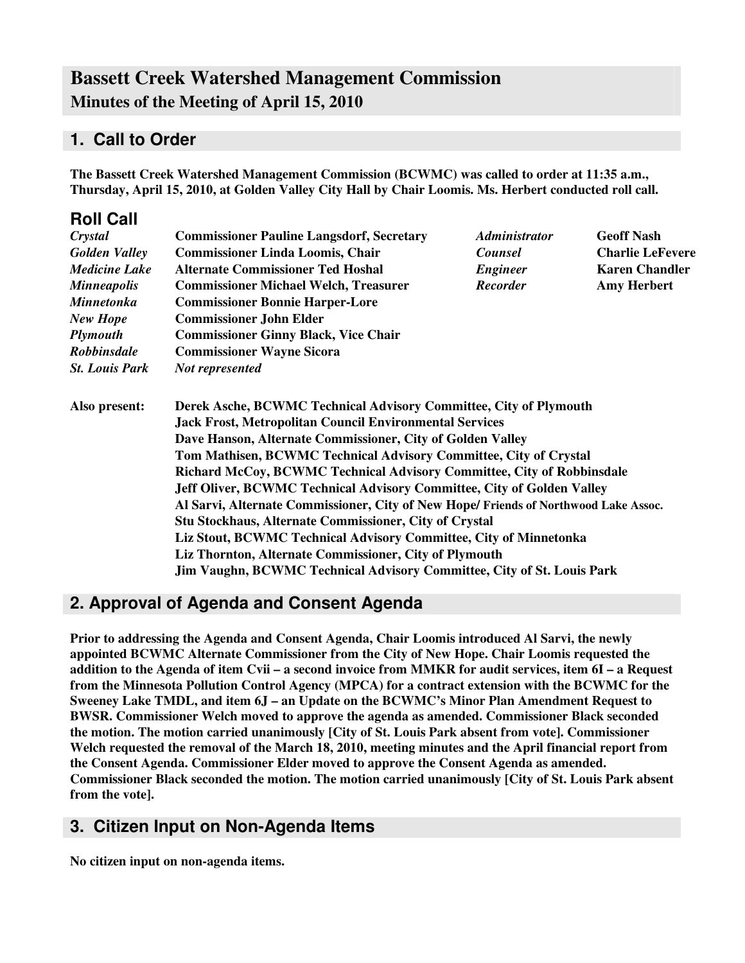## **Bassett Creek Watershed Management Commission Minutes of the Meeting of April 15, 2010**

### **1. Call to Order**

**The Bassett Creek Watershed Management Commission (BCWMC) was called to order at 11:35 a.m., Thursday, April 15, 2010, at Golden Valley City Hall by Chair Loomis. Ms. Herbert conducted roll call.**

| <b>Roll Call</b>      |                                                                                                                              |                                                                        |                         |  |  |                                                                   |
|-----------------------|------------------------------------------------------------------------------------------------------------------------------|------------------------------------------------------------------------|-------------------------|--|--|-------------------------------------------------------------------|
| Crystal               | <b>Commissioner Pauline Langsdorf, Secretary</b>                                                                             | <b>Administrator</b>                                                   | <b>Geoff Nash</b>       |  |  |                                                                   |
| <b>Golden Valley</b>  | <b>Commissioner Linda Loomis, Chair</b>                                                                                      | <b>Counsel</b>                                                         | <b>Charlie LeFevere</b> |  |  |                                                                   |
| <b>Medicine Lake</b>  | <b>Alternate Commissioner Ted Hoshal</b>                                                                                     | <b>Engineer</b>                                                        | <b>Karen Chandler</b>   |  |  |                                                                   |
| <b>Minneapolis</b>    | <b>Commissioner Michael Welch, Treasurer</b>                                                                                 | <b>Recorder</b>                                                        | <b>Amy Herbert</b>      |  |  |                                                                   |
| <b>Minnetonka</b>     | <b>Commissioner Bonnie Harper-Lore</b>                                                                                       |                                                                        |                         |  |  |                                                                   |
| <b>New Hope</b>       | <b>Commissioner John Elder</b><br><b>Commissioner Ginny Black, Vice Chair</b>                                                |                                                                        |                         |  |  |                                                                   |
| <b>Plymouth</b>       |                                                                                                                              |                                                                        |                         |  |  |                                                                   |
| <b>Robbinsdale</b>    |                                                                                                                              |                                                                        |                         |  |  |                                                                   |
| <b>St. Louis Park</b> | Not represented                                                                                                              |                                                                        |                         |  |  |                                                                   |
| Also present:         | Derek Asche, BCWMC Technical Advisory Committee, City of Plymouth                                                            |                                                                        |                         |  |  |                                                                   |
|                       | <b>Jack Frost, Metropolitan Council Environmental Services</b><br>Dave Hanson, Alternate Commissioner, City of Golden Valley |                                                                        |                         |  |  |                                                                   |
|                       |                                                                                                                              |                                                                        |                         |  |  | Tom Mathisen, BCWMC Technical Advisory Committee, City of Crystal |
|                       | Richard McCoy, BCWMC Technical Advisory Committee, City of Robbinsdale                                                       |                                                                        |                         |  |  |                                                                   |
|                       | Jeff Oliver, BCWMC Technical Advisory Committee, City of Golden Valley                                                       |                                                                        |                         |  |  |                                                                   |
|                       | Al Sarvi, Alternate Commissioner, City of New Hope/ Friends of Northwood Lake Assoc.                                         |                                                                        |                         |  |  |                                                                   |
|                       | <b>Stu Stockhaus, Alternate Commissioner, City of Crystal</b>                                                                |                                                                        |                         |  |  |                                                                   |
|                       | Liz Stout, BCWMC Technical Advisory Committee, City of Minnetonka                                                            |                                                                        |                         |  |  |                                                                   |
|                       | Liz Thornton, Alternate Commissioner, City of Plymouth                                                                       |                                                                        |                         |  |  |                                                                   |
|                       |                                                                                                                              | Jim Vaughn, BCWMC Technical Advisory Committee, City of St. Louis Park |                         |  |  |                                                                   |
|                       |                                                                                                                              |                                                                        |                         |  |  |                                                                   |

### **2. Approval of Agenda and Consent Agenda**

**Prior to addressing the Agenda and Consent Agenda, Chair Loomis introduced Al Sarvi, the newly appointed BCWMC Alternate Commissioner from the City of New Hope. Chair Loomis requested the** addition to the Agenda of item Cvii – a second invoice from MMKR for audit services, item 6I – a Request **from the Minnesota Pollution Control Agency (MPCA) for a contract extension with the BCWMC for the Sweeney Lake TMDL, and item 6J – an Update on the BCWMC's Minor Plan Amendment Request to BWSR. Commissioner Welch moved to approve the agenda as amended. Commissioner Black seconded the motion. The motion carried unanimously [City of St. Louis Park absent from vote]. Commissioner Welch requested the removal of the March 18, 2010, meeting minutes and the April financial report from the Consent Agenda. Commissioner Elder moved to approve the Consent Agenda as amended. Commissioner Black seconded the motion. The motion carried unanimously [City of St. Louis Park absent from the vote].**

### **3. Citizen Input on Non-Agenda Items**

**No citizen input on non-agenda items.**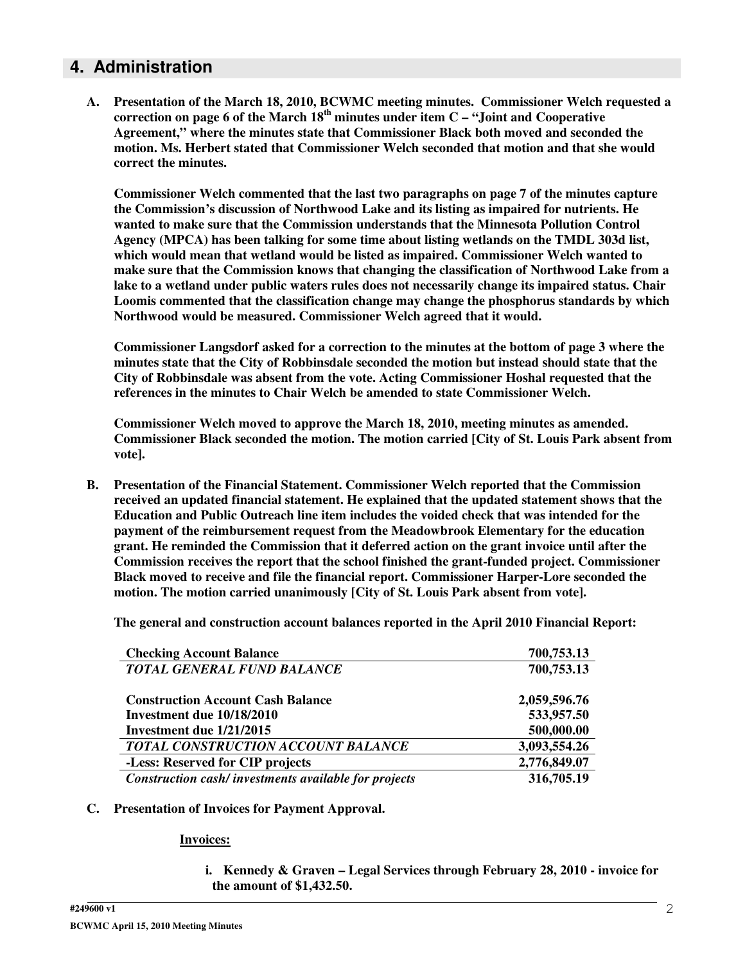### **4. Administration**

**A. Presentation of the March 18, 2010, BCWMC meeting minutes. Commissioner Welch requested a correction on page 6 of the March 18 th minutes under item C – "Joint and Cooperative Agreement," where the minutes state that Commissioner Black both moved and seconded the motion. Ms. Herbert stated that Commissioner Welch seconded that motion and that she would correct the minutes.**

**Commissioner Welch commented that the last two paragraphs on page 7 of the minutes capture the Commission's discussion of Northwood Lake and its listing as impaired for nutrients. He wanted to make sure that the Commission understands that the Minnesota Pollution Control Agency (MPCA) has been talking for some time about listing wetlands on the TMDL 303d list, which would mean that wetland would be listed as impaired. Commissioner Welch wanted to make sure that the Commission knows that changing the classification of Northwood Lake from a lake to a wetland under public waters rules does not necessarily change its impaired status. Chair Loomis commented that the classification change may change the phosphorus standards by which Northwood would be measured. Commissioner Welch agreed that it would.**

**Commissioner Langsdorf asked for a correction to the minutes at the bottom of page 3 where the minutes state that the City of Robbinsdale seconded the motion but instead should state that the City of Robbinsdale was absent from the vote. Acting Commissioner Hoshal requested that the references in the minutes to Chair Welch be amended to state Commissioner Welch.**

**Commissioner Welch moved to approve the March 18, 2010, meeting minutes as amended. Commissioner Black seconded the motion. The motion carried [City of St. Louis Park absent from vote].**

**B. Presentation of the Financial Statement. Commissioner Welch reported that the Commission received an updated financial statement. He explained that the updated statement shows that the Education and Public Outreach line item includes the voided check that was intended for the payment of the reimbursement request from the Meadowbrook Elementary for the education grant. He reminded the Commission that it deferred action on the grant invoice until after the Commission receives the report that the school finished the grant-funded project. Commissioner Black moved to receive and file the financial report. Commissioner Harper-Lore seconded the motion. The motion carried unanimously [City of St. Louis Park absent from vote].**

**The general and construction account balances reported in the April 2010 Financial Report:**

| <b>Checking Account Balance</b>                      | 700,753.13   |
|------------------------------------------------------|--------------|
| <b>TOTAL GENERAL FUND BALANCE</b>                    | 700,753.13   |
| <b>Construction Account Cash Balance</b>             | 2,059,596.76 |
| Investment due 10/18/2010                            | 533,957.50   |
| Investment due 1/21/2015                             | 500,000.00   |
| <b>TOTAL CONSTRUCTION ACCOUNT BALANCE</b>            | 3,093,554.26 |
| -Less: Reserved for CIP projects                     | 2,776,849.07 |
| Construction cash/investments available for projects | 316,705.19   |

#### **C. Presentation of Invoices for Payment Approval.**

#### **Invoices:**

**i. Kennedy & Graven – Legal Services through February 28, 2010 - invoice for the amount of \$1,432.50.**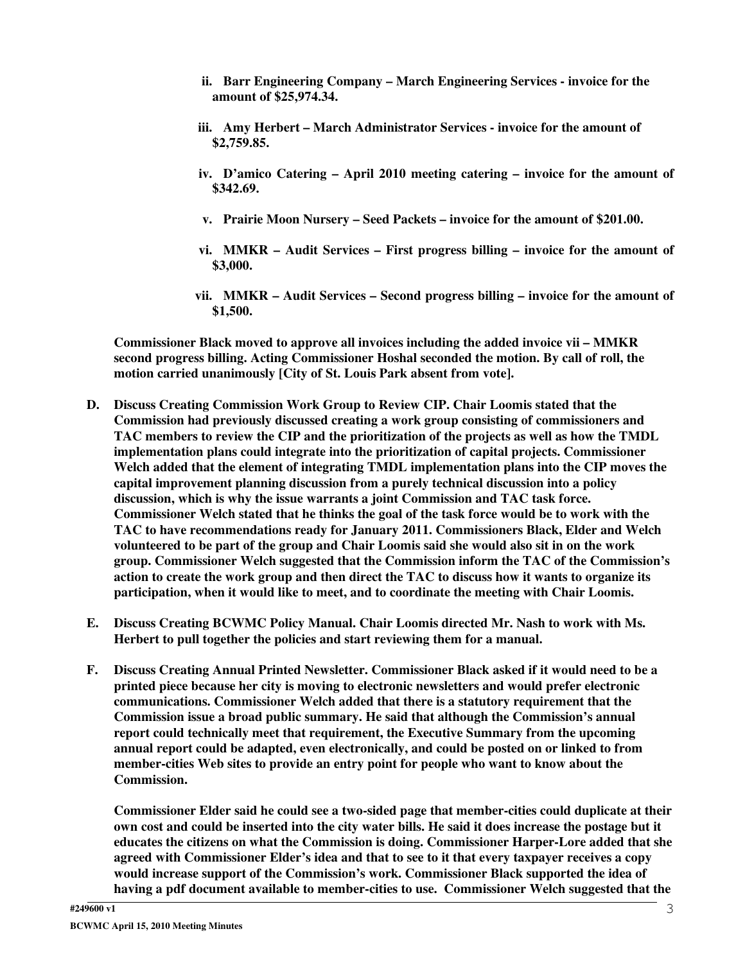- **ii. Barr Engineering Company – March Engineering Services - invoice for the amount of \$25,974.34.**
- **iii. Amy Herbert – March Administrator Services - invoice for the amount of \$2,759.85.**
- **iv. D'amico Catering – April 2010 meeting catering – invoice for the amount of \$342.69.**
- **v. Prairie Moon Nursery – Seed Packets – invoice for the amount of \$201.00.**
- **vi. MMKR – Audit Services – First progress billing – invoice for the amount of \$3,000.**
- **vii. MMKR – Audit Services – Second progress billing – invoice for the amount of \$1,500.**

**Commissioner Black moved to approve all invoices including the added invoice vii – MMKR second progress billing. Acting Commissioner Hoshal seconded the motion. By call of roll, the motion carried unanimously [City of St. Louis Park absent from vote].**

- **D. Discuss Creating Commission Work Group to Review CIP. Chair Loomis stated that the Commission had previously discussed creating a work group consisting of commissioners and TAC members to review the CIP and the prioritization of the projects as well as how the TMDL implementation plans could integrate into the prioritization of capital projects. Commissioner Welch added that the element of integrating TMDL implementation plans into the CIP moves the capital improvement planning discussion from a purely technical discussion into a policy discussion, which is why the issue warrants a joint Commission and TAC task force. Commissioner Welch stated that he thinks the goal of the task force would be to work with the TAC to have recommendations ready for January 2011. Commissioners Black, Elder and Welch volunteered to be part of the group and Chair Loomis said she would also sit in on the work group. Commissioner Welch suggested that the Commission inform the TAC of the Commission's** action to create the work group and then direct the TAC to discuss how it wants to organize its **participation, when it would like to meet, and to coordinate the meeting with Chair Loomis.**
- **E. Discuss Creating BCWMC Policy Manual. Chair Loomis directed Mr. Nash to work with Ms. Herbert to pull together the policies and start reviewing them for a manual.**
- **F. Discuss Creating Annual Printed Newsletter. Commissioner Black asked if it would need to be a printed piece because her city is moving to electronic newsletters and would prefer electronic communications. Commissioner Welch added that there is a statutory requirement that the Commission issue a broad public summary. He said that although the Commission's annual report could technically meet that requirement, the Executive Summary from the upcoming annual report could be adapted, even electronically, and could be posted on or linked to from member-cities Web sites to provide an entry point for people who want to know about the Commission.**

**Commissioner Elder said he could see a two-sided page that member-cities could duplicate at their** own cost and could be inserted into the city water bills. He said it does increase the postage but it **educates the citizens on what the Commission is doing. Commissioner Harper-Lore added that she agreed with Commissioner Elder's idea and that to see to it that every taxpayer receives a copy would increase support of the Commission's work. Commissioner Black supported the idea of having a pdf document available to member-cities to use. Commissioner Welch suggested that the**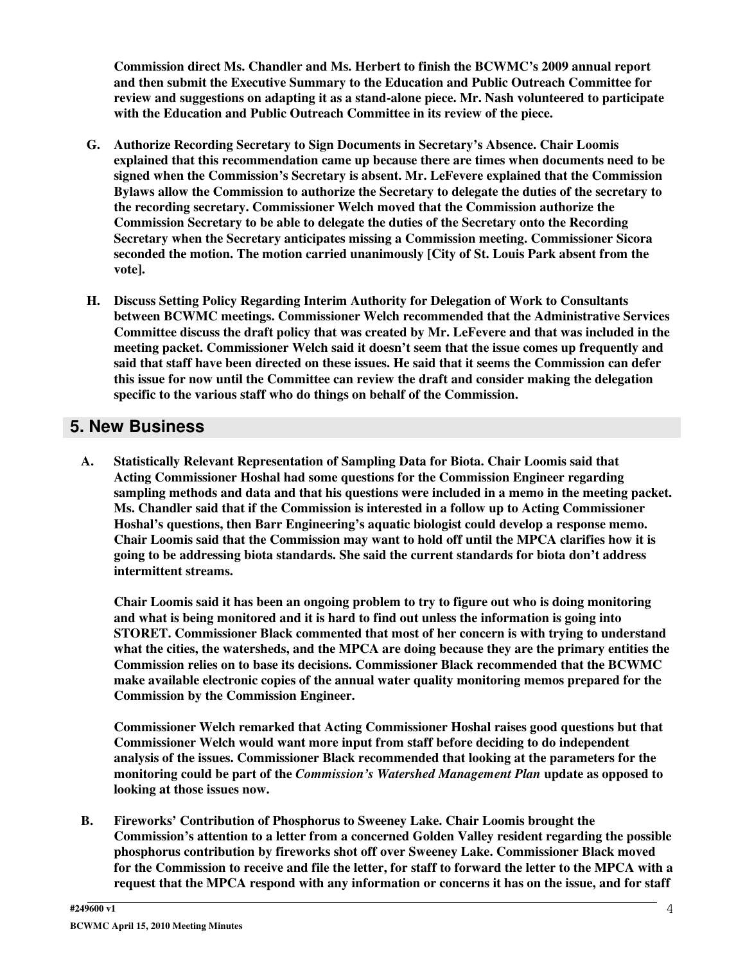**Commission direct Ms. Chandler and Ms. Herbert to finish the BCWMC's 2009 annual report and then submit the Executive Summary to the Education and Public Outreach Committee for review and suggestions on adapting it as a stand-alone piece. Mr. Nash volunteered to participate with the Education and Public Outreach Committee in its review of the piece.**

- **G. Authorize Recording Secretary to Sign Documents in Secretary's Absence. Chair Loomis explained that this recommendation came up because there are times when documents need to be signed when the Commission's Secretary is absent. Mr. LeFevere explained that the Commission Bylaws allow the Commission to authorize the Secretary to delegate the duties of the secretary to the recording secretary. Commissioner Welch moved that the Commission authorize the Commission Secretary to be able to delegate the duties of the Secretary onto the Recording Secretary when the Secretary anticipates missing a Commission meeting. Commissioner Sicora seconded the motion. The motion carried unanimously [City of St. Louis Park absent from the vote].**
- **H. Discuss Setting Policy Regarding Interim Authority for Delegation of Work to Consultants between BCWMC meetings. Commissioner Welch recommended that the Administrative Services Committee discuss the draft policy that was created by Mr. LeFevere and that was included in the meeting packet. Commissioner Welch said it doesn't seem that the issue comes up frequently and said that staff have been directed on these issues. He said that it seems the Commission can defer this issue for now until the Committee can review the draft and consider making the delegation specific to the various staff who do things on behalf of the Commission.**

### **5. New Business**

**A. Statistically Relevant Representation of Sampling Data for Biota. Chair Loomis said that Acting Commissioner Hoshal had some questions for the Commission Engineer regarding sampling methods and data and that his questions were included in a memo in the meeting packet. Ms. Chandler said that if the Commission is interested in a follow up to Acting Commissioner Hoshal's questions, then Barr Engineering's aquatic biologist could develop a response memo. Chair Loomis said that the Commission may want to hold off until the MPCA clarifies how it is going to be addressing biota standards. She said the current standards for biota don't address intermittent streams.**

**Chair Loomis said it has been an ongoing problem to try to figure out who is doing monitoring and what is being monitored and it is hard to find out unless the information is going into STORET. Commissioner Black commented that most of her concern is with trying to understand what the cities, the watersheds, and the MPCA are doing because they are the primary entities the Commission relies on to base its decisions. Commissioner Black recommended that the BCWMC make available electronic copies of the annual water quality monitoring memos prepared for the Commission by the Commission Engineer.**

**Commissioner Welch remarked that Acting Commissioner Hoshal raises good questions but that Commissioner Welch would want more input from staff before deciding to do independent analysis of the issues. Commissioner Black recommended that looking at the parameters for the monitoring could be part of the** *Commission's Watershed Management Plan* **update as opposed to looking at those issues now.**

**B. Fireworks' Contribution of Phosphorus to Sweeney Lake. Chair Loomis brought the Commission's attention to a letter from a concerned Golden Valley resident regarding the possible phosphorus contribution by fireworks shot off over Sweeney Lake. Commissioner Black moved** for the Commission to receive and file the letter, for staff to forward the letter to the MPCA with a **request that the MPCA respond with any information or concerns it has on the issue, and for staff**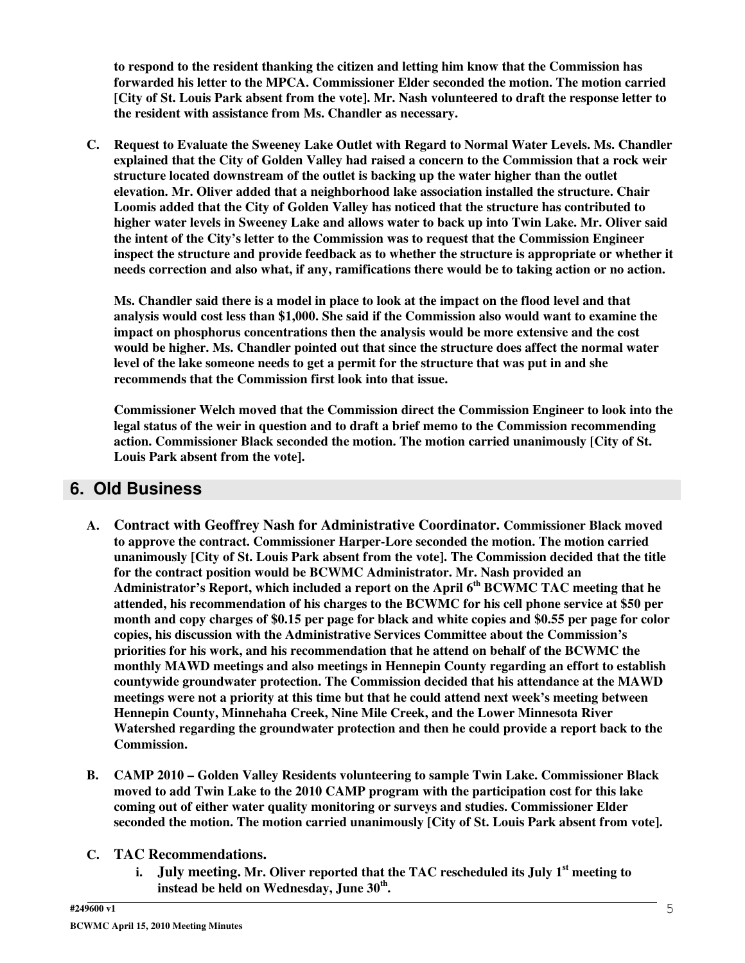**to respond to the resident thanking the citizen and letting him know that the Commission has forwarded his letter to the MPCA. Commissioner Elder seconded the motion. The motion carried** [City of St. Louis Park absent from the vote]. Mr. Nash volunteered to draft the response letter to **the resident with assistance from Ms. Chandler as necessary.**

**C. Request to Evaluate the Sweeney Lake Outlet with Regard to Normal Water Levels. Ms. Chandler explained that the City of Golden Valley had raised a concern to the Commission that a rock weir structure located downstream of the outlet is backing up the water higher than the outlet elevation. Mr. Oliver added that a neighborhood lake association installed the structure. Chair Loomis added that the City of Golden Valley has noticed that the structure has contributed to higher water levels in Sweeney Lake and allows water to back up into Twin Lake. Mr. Oliver said the intent of the City's letter to the Commission was to request that the Commission Engineer inspect the structure and provide feedback as to whether the structure is appropriate or whether it needs correction and also what, if any, ramifications there would be to taking action or no action.**

Ms. Chandler said there is a model in place to look at the impact on the flood level and that **analysis would cost less than \$1,000. She said if the Commission also would want to examine the impact on phosphorus concentrations then the analysis would be more extensive and the cost would be higher. Ms. Chandler pointed out that since the structure does affect the normal water level of the lake someone needs to get a permit for the structure that was put in and she recommends that the Commission first look into that issue.**

**Commissioner Welch moved that the Commission direct the Commission Engineer to look into the legal status of the weir in question and to draft a brief memo to the Commission recommending action. Commissioner Black seconded the motion. The motion carried unanimously [City of St. Louis Park absent from the vote].**

### **6. Old Business**

- **A. Contract with Geoffrey Nash for Administrative Coordinator. Commissioner Black moved to approve the contract. Commissioner Harper-Lore seconded the motion. The motion carried unanimously [City of St. Louis Park absent from the vote]. The Commission decided that the title for the contract position would be BCWMC Administrator. Mr. Nash provided an Administrator's Report, which included a report on the April 6 th BCWMC TAC meeting that he attended, his recommendation of his charges to the BCWMC for his cell phone service at \$50 per** month and copy charges of \$0.15 per page for black and white copies and \$0.55 per page for color **copies, his discussion with the Administrative Services Committee about the Commission's priorities for his work, and his recommendation that he attend on behalf of the BCWMC the monthly MAWD meetings and also meetings in Hennepin County regarding an effort to establish countywide groundwater protection. The Commission decided that his attendance at the MAWD meetings were not a priority at this time but that he could attend next week's meeting between Hennepin County, Minnehaha Creek, Nine Mile Creek, and the Lower Minnesota River Watershed regarding the groundwater protection and then he could provide a report back to the Commission.**
- **B. CAMP 2010 – Golden Valley Residents volunteering to sample Twin Lake. Commissioner Black moved to add Twin Lake to the 2010 CAMP program with the participation cost for this lake coming out of either water quality monitoring or surveys and studies. Commissioner Elder seconded the motion. The motion carried unanimously [City of St. Louis Park absent from vote].**
- **C. TAC Recommendations.**
	- **i. July meeting. Mr. Oliver reported that the TAC rescheduled its July 1 st meeting to instead be held on Wednesday, June 30 th .**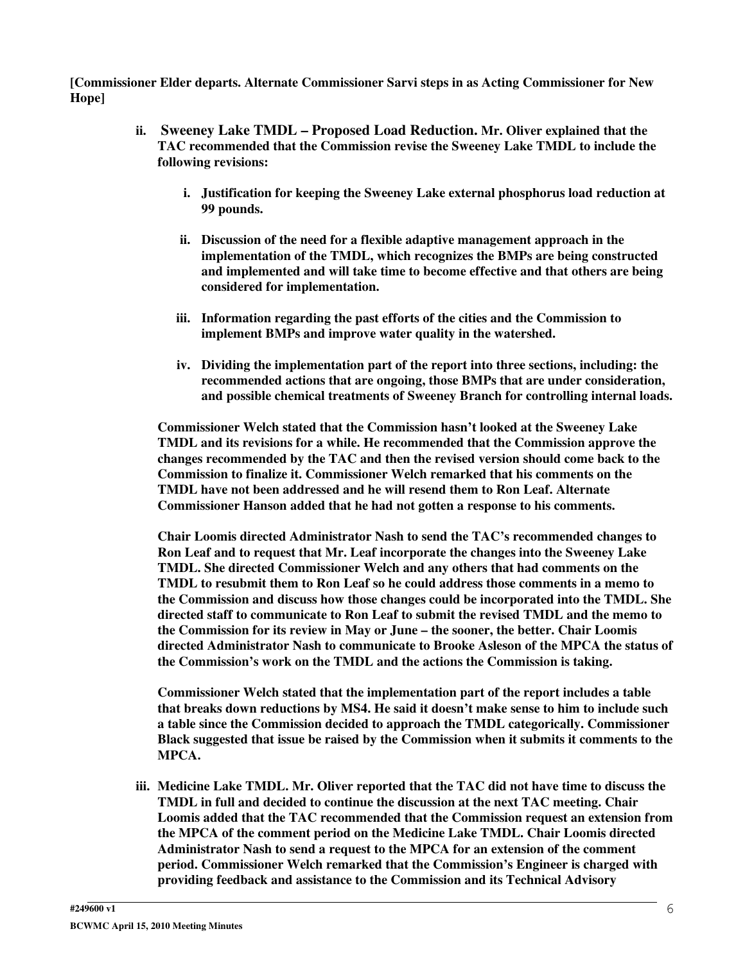**[Commissioner Elder departs. Alternate Commissioner Sarvi steps in as Acting Commissioner for New Hope]**

- **ii. Sweeney Lake TMDL – Proposed Load Reduction. Mr. Oliver explained that the TAC recommended that the Commission revise the Sweeney Lake TMDL to include the following revisions:**
	- **i. Justification for keeping the Sweeney Lake external phosphorus load reduction at 99 pounds.**
	- **ii. Discussion of the need for a flexible adaptive management approach in the implementation of the TMDL, which recognizes the BMPs are being constructed and implemented and will take time to become effective and that others are being considered for implementation.**
	- **iii. Information regarding the past efforts of the cities and the Commission to implement BMPs and improve water quality in the watershed.**
	- **iv. Dividing the implementation part of the report into three sections, including: the recommended actions that are ongoing, those BMPs that are under consideration, and possible chemical treatments of Sweeney Branch for controlling internal loads.**

**Commissioner Welch stated that the Commission hasn't looked at the Sweeney Lake TMDL and its revisions for a while. He recommended that the Commission approve the changes recommended by the TAC and then the revised version should come back to the Commission to finalize it. Commissioner Welch remarked that his comments on the TMDL have not been addressed and he will resend them to Ron Leaf. Alternate Commissioner Hanson added that he had not gotten a response to his comments.**

**Chair Loomis directed Administrator Nash to send the TAC's recommended changes to Ron Leaf and to request that Mr. Leaf incorporate the changes into the Sweeney Lake TMDL. She directed Commissioner Welch and any others that had comments on the TMDL to resubmit them to Ron Leaf so he could address those comments in a memo to the Commission and discuss how those changes could be incorporated into the TMDL. She directed staff to communicate to Ron Leaf to submit the revised TMDL and the memo to the Commission for its review in May or June – the sooner, the better. Chair Loomis directed Administrator Nash to communicate to Brooke Asleson of the MPCA the status of the Commission's work on the TMDL and the actions the Commission is taking.**

**Commissioner Welch stated that the implementation part of the report includes a table that breaks down reductions by MS4. He said it doesn't make sense to him to include such a table since the Commission decided to approach the TMDL categorically. Commissioner Black suggested that issue be raised by the Commission when it submits it comments to the MPCA.**

**iii. Medicine Lake TMDL. Mr. Oliver reported that the TAC did not have time to discuss the TMDL in full and decided to continue the discussion at the next TAC meeting. Chair Loomis added that the TAC recommended that the Commission request an extension from the MPCA of the comment period on the Medicine Lake TMDL. Chair Loomis directed Administrator Nash to send a request to the MPCA for an extension of the comment period. Commissioner Welch remarked that the Commission's Engineer is charged with providing feedback and assistance to the Commission and its Technical Advisory**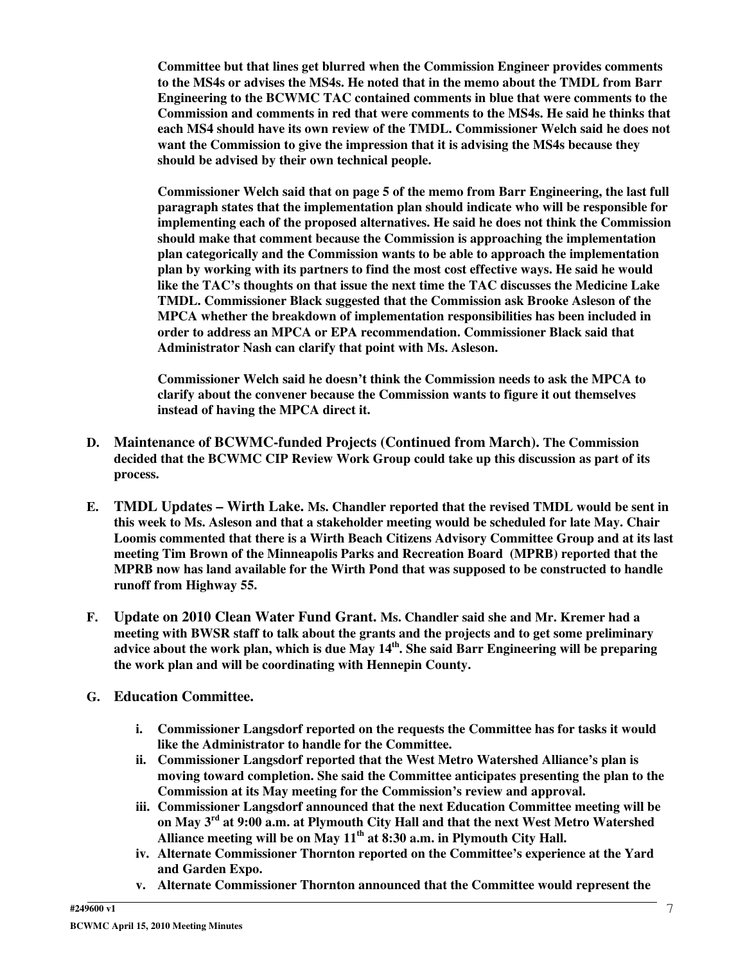**Committee but that lines get blurred when the Commission Engineer provides comments to the MS4s or advises the MS4s. He noted that in the memo about the TMDL from Barr Engineering to the BCWMC TAC contained comments in blue that were comments to the Commission and comments in red that were comments to the MS4s. He said he thinks that each MS4 should have its own review of the TMDL. Commissioner Welch said he does not want the Commission to give the impression that it is advising the MS4s because they should be advised by their own technical people.**

**Commissioner Welch said that on page 5 of the memo from Barr Engineering, the last full paragraph states that the implementation plan should indicate who will be responsible for implementing each of the proposed alternatives. He said he does not think the Commission should make that comment because the Commission is approaching the implementation plan categorically and the Commission wants to be able to approach the implementation plan by working with its partners to find the most cost effective ways. He said he would like the TAC's thoughts on that issue the next time the TAC discusses the Medicine Lake TMDL. Commissioner Black suggested that the Commission ask Brooke Asleson of the MPCA whether the breakdown of implementation responsibilities has been included in order to address an MPCA or EPA recommendation. Commissioner Black said that Administrator Nash can clarify that point with Ms. Asleson.**

**Commissioner Welch said he doesn't think the Commission needs to ask the MPCA to clarify about the convener because the Commission wants to figure it out themselves instead of having the MPCA direct it.**

- **D. Maintenance of BCWMC-funded Projects (Continued from March). The Commission decided that the BCWMC CIP Review Work Group could take up this discussion as part of its process.**
- **E. TMDL Updates – Wirth Lake. Ms. Chandler reported that the revised TMDL would be sent in this week to Ms. Asleson and that a stakeholder meeting would be scheduled for late May. Chair Loomis commented that there is a Wirth Beach Citizens Advisory Committee Group and at its last meeting Tim Brown of the Minneapolis Parks and Recreation Board (MPRB) reported that the MPRB now has land available for the Wirth Pond that was supposed to be constructed to handle runoff from Highway 55.**
- **F. Update on 2010 Clean Water Fund Grant. Ms. Chandler said she and Mr. Kremer had a meeting with BWSR staff to talk about the grants and the projects and to get some preliminary** advice about the work plan, which is due May 14<sup>th</sup>. She said Barr Engineering will be preparing **the work plan and will be coordinating with Hennepin County.**
- **G. Education Committee.**
	- **i. Commissioner Langsdorf reported on the requests the Committee has for tasks it would like the Administrator to handle for the Committee.**
	- **ii. Commissioner Langsdorf reported that the West Metro Watershed Alliance's plan is moving toward completion. She said the Committee anticipates presenting the plan to the Commission at its May meeting for the Commission's review and approval.**
	- **iii. Commissioner Langsdorf announced that the next Education Committee meeting will be on May 3 rd at 9:00 a.m. at Plymouth City Hall and that the next West Metro Watershed Alliance meeting will be on May 11 th at 8:30 a.m. in Plymouth City Hall.**
	- **iv. Alternate Commissioner Thornton reported on the Committee's experience at the Yard and Garden Expo.**
	- **v. Alternate Commissioner Thornton announced that the Committee would represent the**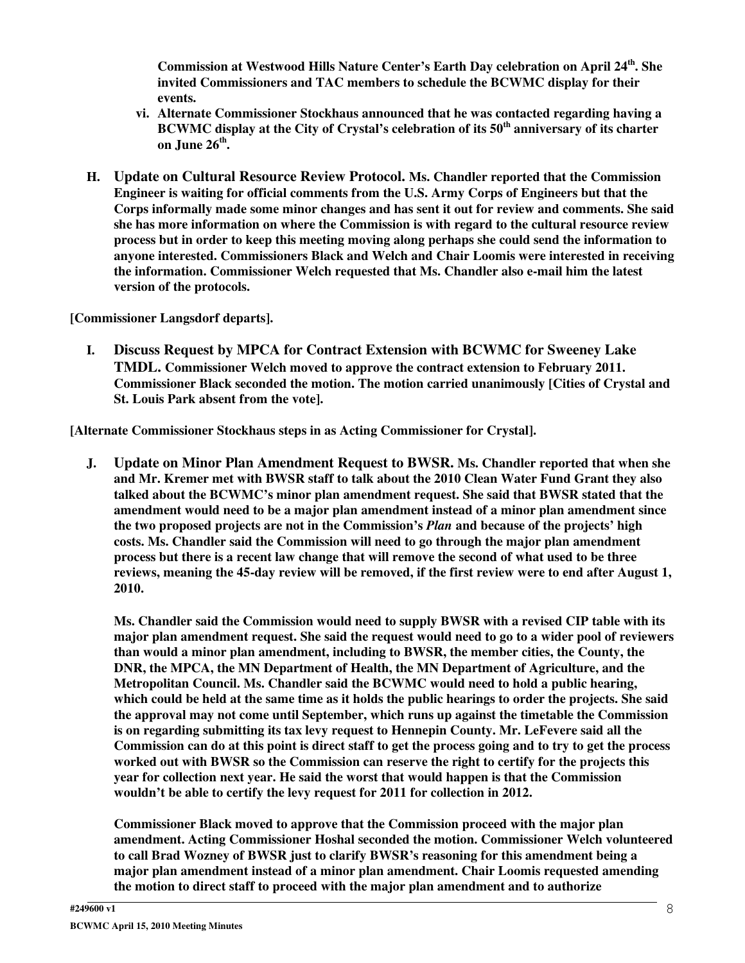**Commission at Westwood Hills Nature Center's Earth Day celebration on April 24 th . She invited Commissioners and TAC members to schedule the BCWMC display for their events.**

- **vi. Alternate Commissioner Stockhaus announced that he was contacted regarding having a BCWMC display at the City of Crystal's celebration of its 50 th anniversary of its charter on June 26 th .**
- **H. Update on Cultural Resource Review Protocol. Ms. Chandler reported that the Commission Engineer is waiting for official comments from the U.S. Army Corps of Engineers but that the Corps informally made some minor changes and has sent it out for review and comments. She said she has more information on where the Commission is with regard to the cultural resource review process but in order to keep this meeting moving along perhaps she could send the information to anyone interested. Commissioners Black and Welch and Chair Loomis were interested in receiving the information. Commissioner Welch requested that Ms. Chandler also e-mail him the latest version of the protocols.**

**[Commissioner Langsdorf departs].**

**I. Discuss Request by MPCA for Contract Extension with BCWMC for Sweeney Lake TMDL. Commissioner Welch moved to approve the contract extension to February 2011. Commissioner Black seconded the motion. The motion carried unanimously [Cities of Crystal and St. Louis Park absent from the vote].**

**[Alternate Commissioner Stockhaus steps in as Acting Commissioner for Crystal].**

**J. Update on Minor Plan Amendment Request to BWSR. Ms. Chandler reported that when she and Mr. Kremer met with BWSR staff to talk about the 2010 Clean Water Fund Grant they also talked about the BCWMC's minor plan amendment request. She said that BWSR stated that the amendment would need to be a major plan amendment instead of a minor plan amendment since the two proposed projects are not in the Commission's** *Plan* **and because of the projects' high costs. Ms. Chandler said the Commission will need to go through the major plan amendment** process but there is a recent law change that will remove the second of what used to be three reviews, meaning the 45-day review will be removed, if the first review were to end after August 1, **2010.**

**Ms. Chandler said the Commission would need to supply BWSR with a revised CIP table with its major plan amendment request. She said the request would need to go to a wider pool of reviewers than would a minor plan amendment, including to BWSR, the member cities, the County, the DNR, the MPCA, the MN Department of Health, the MN Department of Agriculture, and the Metropolitan Council. Ms. Chandler said the BCWMC would need to hold a public hearing,** which could be held at the same time as it holds the public hearings to order the projects. She said **the approval may not come until September, which runs up against the timetable the Commission is on regarding submitting its tax levy request to Hennepin County. Mr. LeFevere said all the** Commission can do at this point is direct staff to get the process going and to try to get the process **worked out with BWSR so the Commission can reserve the right to certify for the projects this year for collection next year. He said the worst that would happen is that the Commission wouldn't be able to certify the levy request for 2011 for collection in 2012.**

**Commissioner Black moved to approve that the Commission proceed with the major plan amendment. Acting Commissioner Hoshal seconded the motion. Commissioner Welch volunteered to call Brad Wozney of BWSR just to clarify BWSR's reasoning for this amendment being a major plan amendment instead of a minor plan amendment. Chair Loomis requested amending the motion to direct staff to proceed with the major plan amendment and to authorize**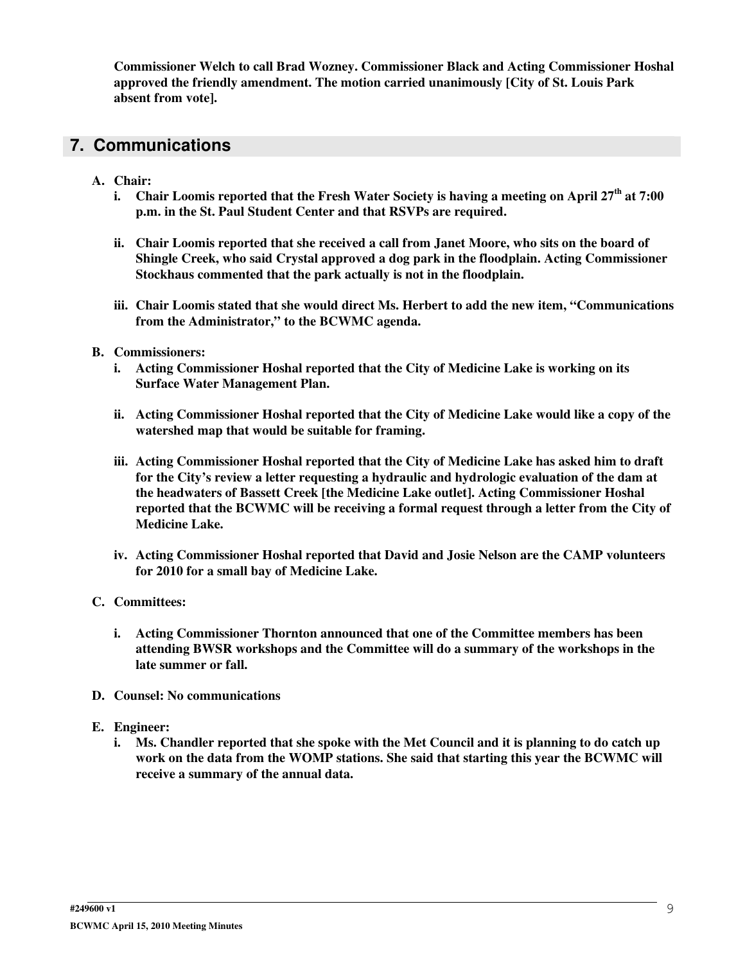**Commissioner Welch to call Brad Wozney. Commissioner Black and Acting Commissioner Hoshal approved the friendly amendment. The motion carried unanimously [City of St. Louis Park absent from vote].**

### **7. Communications**

- **A. Chair:**
	- i. Chair Loomis reported that the Fresh Water Society is having a meeting on April 27<sup>th</sup> at 7:00 **p.m. in the St. Paul Student Center and that RSVPs are required.**
	- **ii. Chair Loomis reported that she received a call from Janet Moore, who sits on the board of Shingle Creek, who said Crystal approved a dog park in the floodplain. Acting Commissioner Stockhaus commented that the park actually is not in the floodplain.**
	- **iii. Chair Loomis stated that she would direct Ms. Herbert to add the new item, "Communications from the Administrator," to the BCWMC agenda.**
- **B. Commissioners:**
	- **i. Acting Commissioner Hoshal reported that the City of Medicine Lake is working on its Surface Water Management Plan.**
	- **ii. Acting Commissioner Hoshal reported that the City of Medicine Lake would like a copy of the watershed map that would be suitable for framing.**
	- **iii. Acting Commissioner Hoshal reported that the City of Medicine Lake has asked him to draft for the City's review a letter requesting a hydraulic and hydrologic evaluation of the dam at the headwaters of Bassett Creek [the Medicine Lake outlet]. Acting Commissioner Hoshal reported that the BCWMC will be receiving a formal request through a letter from the City of Medicine Lake.**
	- **iv. Acting Commissioner Hoshal reported that David and Josie Nelson are the CAMP volunteers for 2010 for a small bay of Medicine Lake.**
- **C. Committees:**
	- **i. Acting Commissioner Thornton announced that one of the Committee members has been attending BWSR workshops and the Committee will do a summary of the workshops in the late summer or fall.**
- **D. Counsel: No communications**
- **E. Engineer:**
	- i. Ms. Chandler reported that she spoke with the Met Council and it is planning to do catch up **work on the data from the WOMP stations. She said that starting this year the BCWMC will receive a summary of the annual data.**